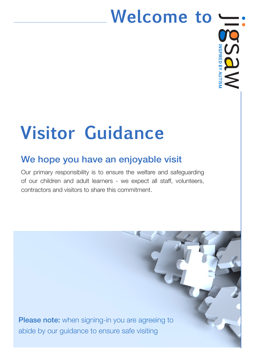# **Welcome to**



# **Visitor Guidance**

## We hope you have an enjoyable visit

Our primary responsibility is to ensure the welfare and safeguarding of our children and adult learners - we expect all staff, volunteers, contractors and visitors to share this commitment.

**Please note:** when signing-in you are agreeing to abide by our guidance to ensure safe visiting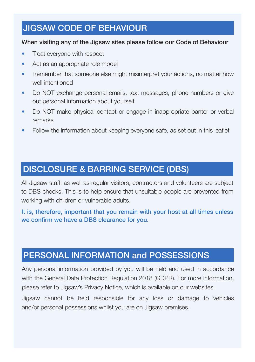#### JIGSAW CODE OF BEHAVIOUR

#### When visiting any of the Jigsaw sites please follow our Code of Behaviour

- Treat everyone with respect
- Act as an appropriate role model
- Remember that someone else might misinterpret your actions, no matter how well intentioned
- Do NOT exchange personal emails, text messages, phone numbers or give out personal information about yourself
- Do NOT make physical contact or engage in inappropriate banter or verbal remarks
- Follow the information about keeping everyone safe, as set out in this leaflet

### DISCLOSURE & BARRING SERVICE (DBS)

All Jigsaw staff, as well as regular visitors, contractors and volunteers are subject to DBS checks. This is to help ensure that unsuitable people are prevented from working with children or vulnerable adults.

It is, therefore, important that you remain with your host at all times unless we confirm we have a DBS clearance for you.

#### PERSONAL INFORMATION and POSSESSIONS

Any personal information provided by you will be held and used in accordance with the General Data Protection Regulation 2018 (GDPR). For more information, please refer to Jigsaw's Privacy Notice, which is available on our websites.

Jigsaw cannot be held responsible for any loss or damage to vehicles and/or personal possessions whilst you are on Jigsaw premises.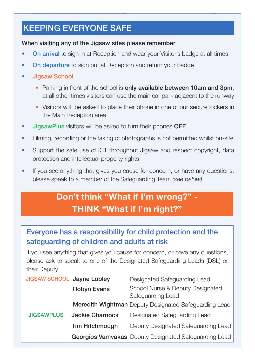### KEEPING EVERYONE SAFE

#### When visiting any of the Jigsaw sites please remember

- **On arrival** to sign in at Reception and wear your Visitor's badge at all times
- **On departure** to sign out at Reception and return your badge
- Jigsaw School
	- Parking in front of the school is only available between 10am and 3pm, at all other times visitors can use the main car park adjacent to the runway
	- Visitors will be asked to place their phone in one of our secure lockers in the Main Reception area
- **JigsawPlus** visitors will be asked to turn their phones OFF
- Filming, recording or the taking of photographs is not permitted whilst on-site
- Support the safe use of ICT throughout Jigsaw and respect copyright, data protection and intellectual property rights
- If you see anything that gives you cause for concern, or have any questions, please speak to a member of the Safeguarding Team *(see below)*

## **Don't think "What if I'm wrong?" - THINK "What if I'm right?"**

#### Everyone has a responsibility for child protection and the safeguarding of children and adults at risk

If you see anything that gives you cause for concern, or have any questions, please ask to speak to one of the Designated Safeguarding Leads (DSL) or their Deputy

| JIGSAW SCHOOL Jayne Lobley |                       | Designated Safeguarding Lead                          |
|----------------------------|-----------------------|-------------------------------------------------------|
|                            | <b>Robyn Evans</b>    | School Nurse & Deputy Designated<br>Safeguarding Lead |
|                            |                       | Meredith Wightman Deputy Designated Safeguarding Lead |
| <b>JIGSAWPLUS</b>          | Jackie Charnock       | Designated Safeguarding Lead                          |
|                            | <b>Tim Hitchmough</b> | Deputy Designated Safeguarding Lead                   |
|                            |                       | Georgios Vamvakas Deputy Designated Safeguarding Lead |